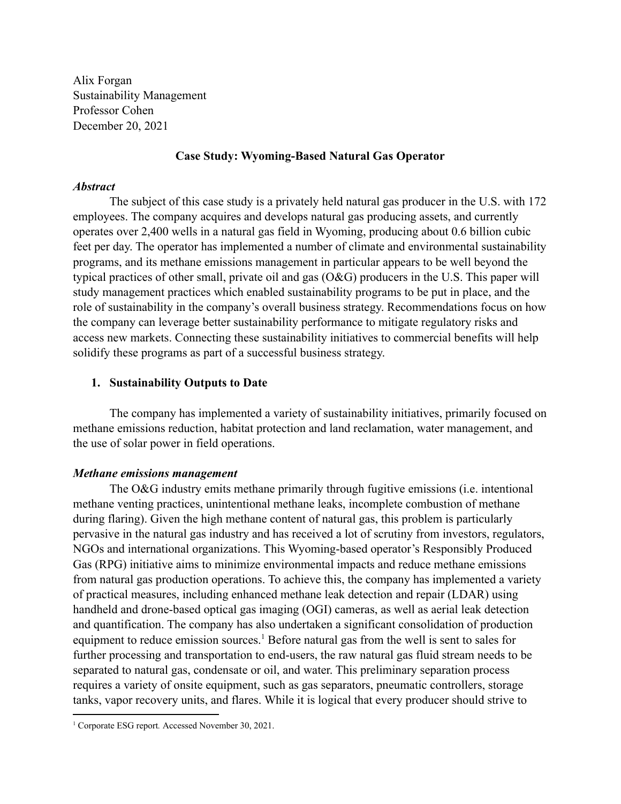Alix Forgan Sustainability Management Professor Cohen December 20, 2021

# **Case Study: Wyoming-Based Natural Gas Operator**

# *Abstract*

The subject of this case study is a privately held natural gas producer in the U.S. with 172 employees. The company acquires and develops natural gas producing assets, and currently operates over 2,400 wells in a natural gas field in Wyoming, producing about 0.6 billion cubic feet per day. The operator has implemented a number of climate and environmental sustainability programs, and its methane emissions management in particular appears to be well beyond the typical practices of other small, private oil and gas (O&G) producers in the U.S. This paper will study management practices which enabled sustainability programs to be put in place, and the role of sustainability in the company's overall business strategy. Recommendations focus on how the company can leverage better sustainability performance to mitigate regulatory risks and access new markets. Connecting these sustainability initiatives to commercial benefits will help solidify these programs as part of a successful business strategy.

# **1. Sustainability Outputs to Date**

The company has implemented a variety of sustainability initiatives, primarily focused on methane emissions reduction, habitat protection and land reclamation, water management, and the use of solar power in field operations.

#### *Methane emissions management*

The O&G industry emits methane primarily through fugitive emissions (i.e. intentional methane venting practices, unintentional methane leaks, incomplete combustion of methane during flaring). Given the high methane content of natural gas, this problem is particularly pervasive in the natural gas industry and has received a lot of scrutiny from investors, regulators, NGOs and international organizations. This Wyoming-based operator's Responsibly Produced Gas (RPG) initiative aims to minimize environmental impacts and reduce methane emissions from natural gas production operations. To achieve this, the company has implemented a variety of practical measures, including enhanced methane leak detection and repair (LDAR) using handheld and drone-based optical gas imaging (OGI) cameras, as well as aerial leak detection and quantification. The company has also undertaken a significant consolidation of production equipment to reduce emission sources.<sup>1</sup> Before natural gas from the well is sent to sales for further processing and transportation to end-users, the raw natural gas fluid stream needs to be separated to natural gas, condensate or oil, and water. This preliminary separation process requires a variety of onsite equipment, such as gas separators, pneumatic controllers, storage tanks, vapor recovery units, and flares. While it is logical that every producer should strive to

<sup>1</sup> Corporate ESG report*.* Accessed November 30, 2021.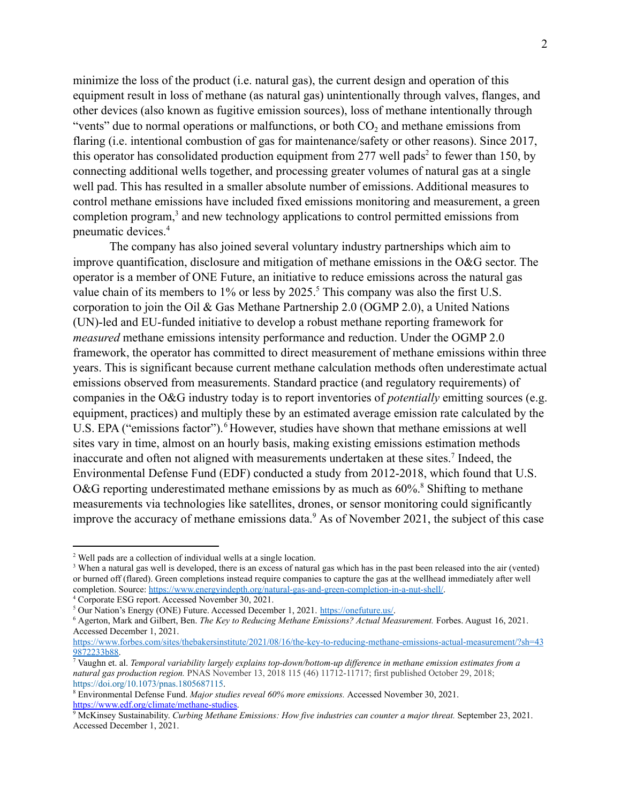minimize the loss of the product (i.e. natural gas), the current design and operation of this equipment result in loss of methane (as natural gas) unintentionally through valves, flanges, and other devices (also known as fugitive emission sources), loss of methane intentionally through "vents" due to normal operations or malfunctions, or both  $CO<sub>2</sub>$  and methane emissions from flaring (i.e. intentional combustion of gas for maintenance/safety or other reasons). Since 2017, this operator has consolidated production equipment from  $277$  well pads<sup>2</sup> to fewer than 150, by connecting additional wells together, and processing greater volumes of natural gas at a single well pad. This has resulted in a smaller absolute number of emissions. Additional measures to control methane emissions have included fixed emissions monitoring and measurement, a green completion program,<sup>3</sup> and new technology applications to control permitted emissions from pneumatic devices.<sup>4</sup>

The company has also joined several voluntary industry partnerships which aim to improve quantification, disclosure and mitigation of methane emissions in the O&G sector. The operator is a member of ONE Future, an initiative to reduce emissions across the natural gas value chain of its members to  $1\%$  or less by 2025.<sup>5</sup> This company was also the first U.S. corporation to join the Oil & Gas Methane Partnership 2.0 (OGMP 2.0), a United Nations (UN)-led and EU-funded initiative to develop a robust methane reporting framework for *measured* methane emissions intensity performance and reduction. Under the OGMP 2.0 framework, the operator has committed to direct measurement of methane emissions within three years. This is significant because current methane calculation methods often underestimate actual emissions observed from measurements. Standard practice (and regulatory requirements) of companies in the O&G industry today is to report inventories of *potentially* emitting sources (e.g. equipment, practices) and multiply these by an estimated average emission rate calculated by the U.S. EPA ("emissions factor").<sup>6</sup> However, studies have shown that methane emissions at well sites vary in time, almost on an hourly basis, making existing emissions estimation methods inaccurate and often not aligned with measurements undertaken at these sites.<sup>7</sup> Indeed, the Environmental Defense Fund (EDF) conducted a study from 2012-2018, which found that U.S. O&G reporting underestimated methane emissions by as much as  $60\%$ .<sup>8</sup> Shifting to methane measurements via technologies like satellites, drones, or sensor monitoring could significantly improve the accuracy of methane emissions data.<sup>9</sup> As of November 2021, the subject of this case

<sup>2</sup> Well pads are a collection of individual wells at a single location.

<sup>&</sup>lt;sup>3</sup> When a natural gas well is developed, there is an excess of natural gas which has in the past been released into the air (vented) or burned off (flared). Green completions instead require companies to capture the gas at the wellhead immediately after well completion. Source: <https://www.energyindepth.org/natural-gas-and-green-completion-in-a-nut-shell/>.

<sup>4</sup> Corporate ESG report. Accessed November 30, 2021.

<sup>&</sup>lt;sup>5</sup> Our Nation's Energy (ONE) Future. Accessed December 1, 2021. [https://onefuture.us/.](https://onefuture.us/)

<sup>6</sup> Agerton, Mark and Gilbert, Ben. *The Key to Reducing Methane Emissions? Actual Measurement.* Forbes. August 16, 2021. Accessed December 1, 2021.

[https://www.forbes.com/sites/thebakersinstitute/2021/08/16/the-key-to-reducing-methane-emissions-actual-measurement/?sh=43](https://www.forbes.com/sites/thebakersinstitute/2021/08/16/the-key-to-reducing-methane-emissions-actual-measurement/?sh=439872233b88) [9872233b88](https://www.forbes.com/sites/thebakersinstitute/2021/08/16/the-key-to-reducing-methane-emissions-actual-measurement/?sh=439872233b88).

<sup>7</sup> Vaughn et. al. *Temporal variability largely explains top-down/bottom-up difference in methane emission estimates from a natural gas production region.* PNAS November 13, 2018 115 (46) 11712-11717; first published October 29, 2018; <https://doi.org/10.1073/pnas.1805687115>.

<sup>8</sup> Environmental Defense Fund. *Major studies reveal 60% more emissions.* Accessed November 30, 2021. [https://www.edf.org/climate/methane-studies.](https://www.edf.org/climate/methane-studies)

<sup>9</sup> McKinsey Sustainability. *Curbing Methane Emissions: How five industries can counter a major threat.* September 23, 2021. Accessed December 1, 2021.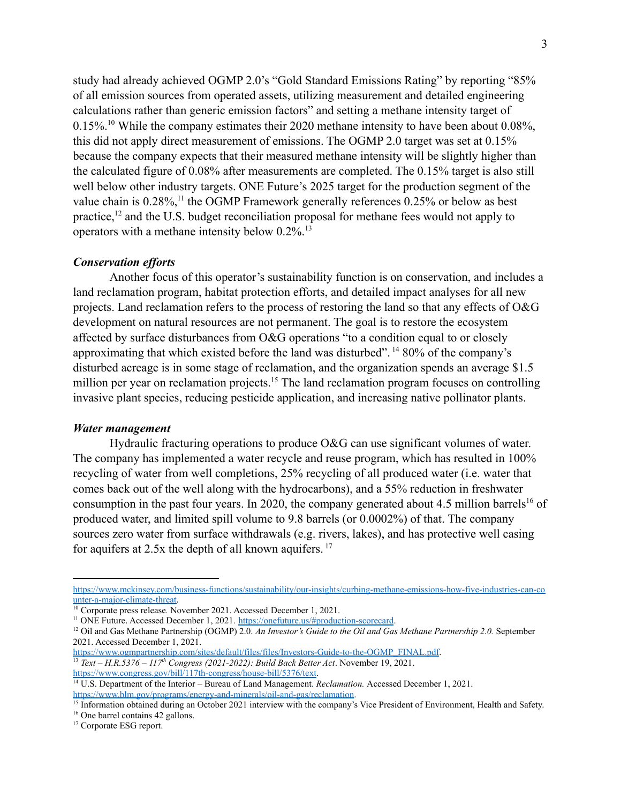study had already achieved OGMP 2.0's "Gold Standard Emissions Rating" by reporting "85% of all emission sources from operated assets, utilizing measurement and detailed engineering calculations rather than generic emission factors" and setting a methane intensity target of 0.15%.<sup>10</sup> While the company estimates their 2020 methane intensity to have been about 0.08%, this did not apply direct measurement of emissions. The OGMP 2.0 target was set at 0.15% because the company expects that their measured methane intensity will be slightly higher than the calculated figure of 0.08% after measurements are completed. The 0.15% target is also still well below other industry targets. ONE Future's 2025 target for the production segment of the value chain is  $0.28\%$ ,<sup>11</sup> the OGMP Framework generally references  $0.25\%$  or below as best practice,<sup>12</sup> and the U.S. budget reconciliation proposal for methane fees would not apply to operators with a methane intensity below 0.2%.<sup>13</sup>

# *Conservation efforts*

Another focus of this operator's sustainability function is on conservation, and includes a land reclamation program, habitat protection efforts, and detailed impact analyses for all new projects. Land reclamation refers to the process of restoring the land so that any effects of O&G development on natural resources are not permanent. The goal is to restore the ecosystem affected by surface disturbances from O&G operations "to a condition equal to or closely approximating that which existed before the land was disturbed". <sup>14</sup> 80% of the company's disturbed acreage is in some stage of reclamation, and the organization spends an average \$1.5 million per year on reclamation projects.<sup>15</sup> The land reclamation program focuses on controlling invasive plant species, reducing pesticide application, and increasing native pollinator plants.

#### *Water management*

Hydraulic fracturing operations to produce O&G can use significant volumes of water. The company has implemented a water recycle and reuse program, which has resulted in 100% recycling of water from well completions, 25% recycling of all produced water (i.e. water that comes back out of the well along with the hydrocarbons), and a 55% reduction in freshwater consumption in the past four years. In 2020, the company generated about 4.5 million barrels<sup>16</sup> of produced water, and limited spill volume to 9.8 barrels (or 0.0002%) of that. The company sources zero water from surface withdrawals (e.g. rivers, lakes), and has protective well casing for aquifers at 2.5x the depth of all known aquifers.  $17$ 

<sup>13</sup> *Text – H.R.5376 – 117th Congress (2021-2022): Build Back Better Act*. November 19, 2021. <https://www.congress.gov/bill/117th-congress/house-bill/5376/text>. [https://www.ogmpartnership.com/sites/default/files/files/Investors-Guide-to-the-OGMP\\_FINAL.pdf](https://www.ogmpartnership.com/sites/default/files/files/Investors-Guide-to-the-OGMP_FINAL.pdf).

<sup>16</sup> One barrel contains 42 gallons.

[https://www.mckinsey.com/business-functions/sustainability/our-insights/curbing-methane-emissions-how-five-industries-can-co](https://www.mckinsey.com/business-functions/sustainability/our-insights/curbing-methane-emissions-how-five-industries-can-counter-a-major-climate-threat) [unter-a-major-climate-threat](https://www.mckinsey.com/business-functions/sustainability/our-insights/curbing-methane-emissions-how-five-industries-can-counter-a-major-climate-threat).

<sup>&</sup>lt;sup>10</sup> Corporate press release. November 2021. Accessed December 1, 2021.

<sup>&</sup>lt;sup>11</sup> ONE Future. Accessed December 1, 2021. <https://onefuture.us/#production-scorecard>.

<sup>12</sup> Oil and Gas Methane Partnership (OGMP) 2.0. *An Investor's Guide to the Oil and Gas Methane Partnership 2.0.* September 2021. Accessed December 1, 2021.

<sup>14</sup> U.S. Department of the Interior – Bureau of Land Management. *Reclamation.* Accessed December 1, 2021. <https://www.blm.gov/programs/energy-and-minerals/oil-and-gas/reclamation>.

<sup>&</sup>lt;sup>15</sup> Information obtained during an October 2021 interview with the company's Vice President of Environment, Health and Safety.

<sup>&</sup>lt;sup>17</sup> Corporate ESG report.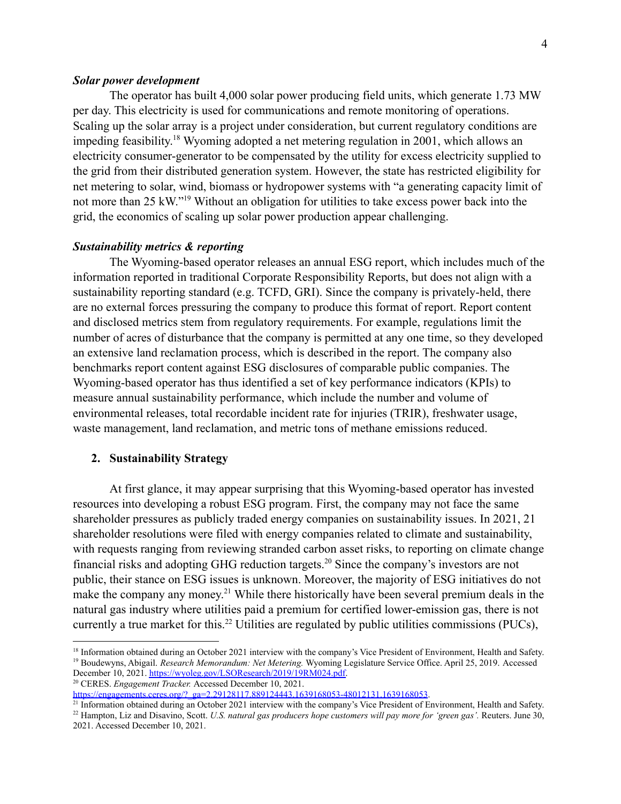## *Solar power development*

The operator has built 4,000 solar power producing field units, which generate 1.73 MW per day. This electricity is used for communications and remote monitoring of operations. Scaling up the solar array is a project under consideration, but current regulatory conditions are impeding feasibility. <sup>18</sup> Wyoming adopted a net metering regulation in 2001, which allows an electricity consumer-generator to be compensated by the utility for excess electricity supplied to the grid from their distributed generation system. However, the state has restricted eligibility for net metering to solar, wind, biomass or hydropower systems with "a generating capacity limit of not more than 25 kW."<sup>19</sup> Without an obligation for utilities to take excess power back into the grid, the economics of scaling up solar power production appear challenging.

### *Sustainability metrics & reporting*

The Wyoming-based operator releases an annual ESG report, which includes much of the information reported in traditional Corporate Responsibility Reports, but does not align with a sustainability reporting standard (e.g. TCFD, GRI). Since the company is privately-held, there are no external forces pressuring the company to produce this format of report. Report content and disclosed metrics stem from regulatory requirements. For example, regulations limit the number of acres of disturbance that the company is permitted at any one time, so they developed an extensive land reclamation process, which is described in the report. The company also benchmarks report content against ESG disclosures of comparable public companies. The Wyoming-based operator has thus identified a set of key performance indicators (KPIs) to measure annual sustainability performance, which include the number and volume of environmental releases, total recordable incident rate for injuries (TRIR), freshwater usage, waste management, land reclamation, and metric tons of methane emissions reduced.

# **2. Sustainability Strategy**

At first glance, it may appear surprising that this Wyoming-based operator has invested resources into developing a robust ESG program. First, the company may not face the same shareholder pressures as publicly traded energy companies on sustainability issues. In 2021, 21 shareholder resolutions were filed with energy companies related to climate and sustainability, with requests ranging from reviewing stranded carbon asset risks, to reporting on climate change financial risks and adopting GHG reduction targets.<sup>20</sup> Since the company's investors are not public, their stance on ESG issues is unknown. Moreover, the majority of ESG initiatives do not make the company any money.<sup>21</sup> While there historically have been several premium deals in the natural gas industry where utilities paid a premium for certified lower-emission gas, there is not currently a true market for this.<sup>22</sup> Utilities are regulated by public utilities commissions (PUCs),

<sup>20</sup> CERES. *Engagement Tracker.* Accessed December 10, 2021. December 10, 2021. [https://wyoleg.gov/LSOResearch/2019/19RM024.pdf.](https://wyoleg.gov/LSOResearch/2019/19RM024.pdf)

[https://engagements.ceres.org/?\\_ga=2.29128117.889124443.1639168053-48012131.1639168053](https://engagements.ceres.org/?_ga=2.29128117.889124443.1639168053-48012131.1639168053).

<sup>19</sup> Boudewyns, Abigail. *Research Memorandum: Net Metering.* Wyoming Legislature Service Office. April 25, 2019. Accessed <sup>18</sup> Information obtained during an October 2021 interview with the company's Vice President of Environment, Health and Safety.

<sup>&</sup>lt;sup>21</sup> Information obtained during an October 2021 interview with the company's Vice President of Environment, Health and Safety.

<sup>22</sup> Hampton, Liz and Disavino, Scott. *U.S. natural gas producers hope customers will pay more for 'green gas'.* Reuters. June 30, 2021. Accessed December 10, 2021.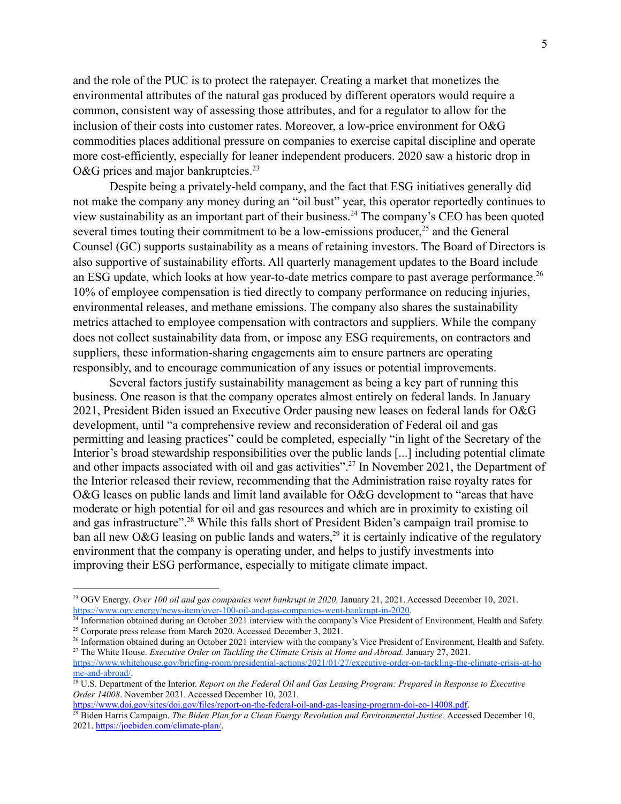and the role of the PUC is to protect the ratepayer. Creating a market that monetizes the environmental attributes of the natural gas produced by different operators would require a common, consistent way of assessing those attributes, and for a regulator to allow for the inclusion of their costs into customer rates. Moreover, a low-price environment for O&G commodities places additional pressure on companies to exercise capital discipline and operate more cost-efficiently, especially for leaner independent producers. 2020 saw a historic drop in O&G prices and major bankruptcies. $23$ 

Despite being a privately-held company, and the fact that ESG initiatives generally did not make the company any money during an "oil bust" year, this operator reportedly continues to view sustainability as an important part of their business.<sup>24</sup> The company's CEO has been quoted several times touting their commitment to be a low-emissions producer,<sup>25</sup> and the General Counsel (GC) supports sustainability as a means of retaining investors. The Board of Directors is also supportive of sustainability efforts. All quarterly management updates to the Board include an ESG update, which looks at how year-to-date metrics compare to past average performance.<sup>26</sup> 10% of employee compensation is tied directly to company performance on reducing injuries, environmental releases, and methane emissions. The company also shares the sustainability metrics attached to employee compensation with contractors and suppliers. While the company does not collect sustainability data from, or impose any ESG requirements, on contractors and suppliers, these information-sharing engagements aim to ensure partners are operating responsibly, and to encourage communication of any issues or potential improvements.

Several factors justify sustainability management as being a key part of running this business. One reason is that the company operates almost entirely on federal lands. In January 2021, President Biden issued an Executive Order pausing new leases on federal lands for O&G development, until "a comprehensive review and reconsideration of Federal oil and gas permitting and leasing practices" could be completed, especially "in light of the Secretary of the Interior's broad stewardship responsibilities over the public lands [...] including potential climate and other impacts associated with oil and gas activities".<sup>27</sup> In November 2021, the Department of the Interior released their review, recommending that the Administration raise royalty rates for O&G leases on public lands and limit land available for O&G development to "areas that have moderate or high potential for oil and gas resources and which are in proximity to existing oil and gas infrastructure".<sup>28</sup> While this falls short of President Biden's campaign trail promise to ban all new O&G leasing on public lands and waters,<sup>29</sup> it is certainly indicative of the regulatory environment that the company is operating under, and helps to justify investments into improving their ESG performance, especially to mitigate climate impact.

<sup>&</sup>lt;sup>23</sup> OGV Energy. *Over 100 oil and gas companies went bankrupt in 2020*. January 21, 2021. Accessed December 10, 2021. [https://www.ogv.energy/news-item/over-100-oil-and-gas-companies-went-bankrupt-in-2020.](https://www.ogv.energy/news-item/over-100-oil-and-gas-companies-went-bankrupt-in-2020)

<sup>&</sup>lt;sup>25</sup> Corporate press release from March 2020. Accessed December 3,  $20\overline{2}1$ . <sup>24</sup> Information obtained during an October 2021 interview with the company's Vice President of Environment, Health and Safety.

<sup>27</sup> The White House. *Executive Order on Tackling the Climate Crisis at Home and Abroad.* January 27, 2021. <sup>26</sup> Information obtained during an October 2021 interview with the company's Vice President of Environment, Health and Safety.

[https://www.whitehouse.gov/briefing-room/presidential-actions/2021/01/27/executive-order-on-tackling-the-climate-crisis-at-ho](https://www.whitehouse.gov/briefing-room/presidential-actions/2021/01/27/executive-order-on-tackling-the-climate-crisis-at-home-and-abroad/) [me-and-abroad/.](https://www.whitehouse.gov/briefing-room/presidential-actions/2021/01/27/executive-order-on-tackling-the-climate-crisis-at-home-and-abroad/)

<sup>28</sup> U.S. Department of the Interior. *Report on the Federal Oil and Gas Leasing Program: Prepared in Response to Executive Order 14008*. November 2021. Accessed December 10, 2021.

[https://www.doi.gov/sites/doi.gov/files/report-on-the-federal-oil-and-gas-leasing-program-doi-eo-14008.pdf.](https://www.doi.gov/sites/doi.gov/files/report-on-the-federal-oil-and-gas-leasing-program-doi-eo-14008.pdf)

<sup>29</sup> Biden Harris Campaign. *The Biden Plan for a Clean Energy Revolution and Environmental Justice.* Accessed December 10, 2021. <https://joebiden.com/climate-plan/>.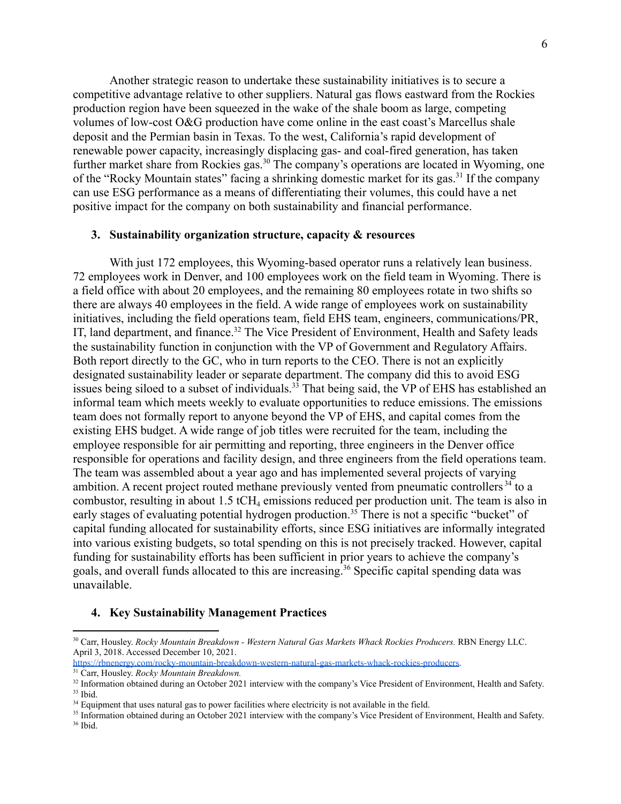Another strategic reason to undertake these sustainability initiatives is to secure a competitive advantage relative to other suppliers. Natural gas flows eastward from the Rockies production region have been squeezed in the wake of the shale boom as large, competing volumes of low-cost O&G production have come online in the east coast's Marcellus shale deposit and the Permian basin in Texas. To the west, California's rapid development of renewable power capacity, increasingly displacing gas- and coal-fired generation, has taken further market share from Rockies gas.<sup>30</sup> The company's operations are located in Wyoming, one of the "Rocky Mountain states" facing a shrinking domestic market for its gas.<sup>31</sup> If the company can use ESG performance as a means of differentiating their volumes, this could have a net positive impact for the company on both sustainability and financial performance.

# **3. Sustainability organization structure, capacity & resources**

With just 172 employees, this Wyoming-based operator runs a relatively lean business. 72 employees work in Denver, and 100 employees work on the field team in Wyoming. There is a field office with about 20 employees, and the remaining 80 employees rotate in two shifts so there are always 40 employees in the field. A wide range of employees work on sustainability initiatives, including the field operations team, field EHS team, engineers, communications/PR, IT, land department, and finance.<sup>32</sup> The Vice President of Environment, Health and Safety leads the sustainability function in conjunction with the VP of Government and Regulatory Affairs. Both report directly to the GC, who in turn reports to the CEO. There is not an explicitly designated sustainability leader or separate department. The company did this to avoid ESG issues being siloed to a subset of individuals.<sup>33</sup> That being said, the VP of EHS has established an informal team which meets weekly to evaluate opportunities to reduce emissions. The emissions team does not formally report to anyone beyond the VP of EHS, and capital comes from the existing EHS budget. A wide range of job titles were recruited for the team, including the employee responsible for air permitting and reporting, three engineers in the Denver office responsible for operations and facility design, and three engineers from the field operations team. The team was assembled about a year ago and has implemented several projects of varying ambition. A recent project routed methane previously vented from pneumatic controllers<sup>34</sup> to a combustor, resulting in about  $1.5$  tCH<sub>4</sub> emissions reduced per production unit. The team is also in early stages of evaluating potential hydrogen production.<sup>35</sup> There is not a specific "bucket" of capital funding allocated for sustainability efforts, since ESG initiatives are informally integrated into various existing budgets, so total spending on this is not precisely tracked. However, capital funding for sustainability efforts has been sufficient in prior years to achieve the company's goals, and overall funds allocated to this are increasing.<sup>36</sup> Specific capital spending data was unavailable.

# **4. Key Sustainability Management Practices**

<sup>30</sup> Carr, Housley. *Rocky Mountain Breakdown - Western Natural Gas Markets Whack Rockies Producers.* RBN Energy LLC. April 3, 2018. Accessed December 10, 2021.

[https://rbnenergy.com/rocky-mountain-breakdown-western-natural-gas-markets-whack-rockies-producers.](https://rbnenergy.com/rocky-mountain-breakdown-western-natural-gas-markets-whack-rockies-producers)

<sup>31</sup> Carr, Housley. *Rocky Mountain Breakdown.*

<sup>33</sup> Ibid. <sup>32</sup> Information obtained during an October 2021 interview with the company's Vice President of Environment, Health and Safety.

<sup>&</sup>lt;sup>34</sup> Equipment that uses natural gas to power facilities where electricity is not available in the field.

<sup>36</sup> Ibid. <sup>35</sup> Information obtained during an October 2021 interview with the company's Vice President of Environment, Health and Safety.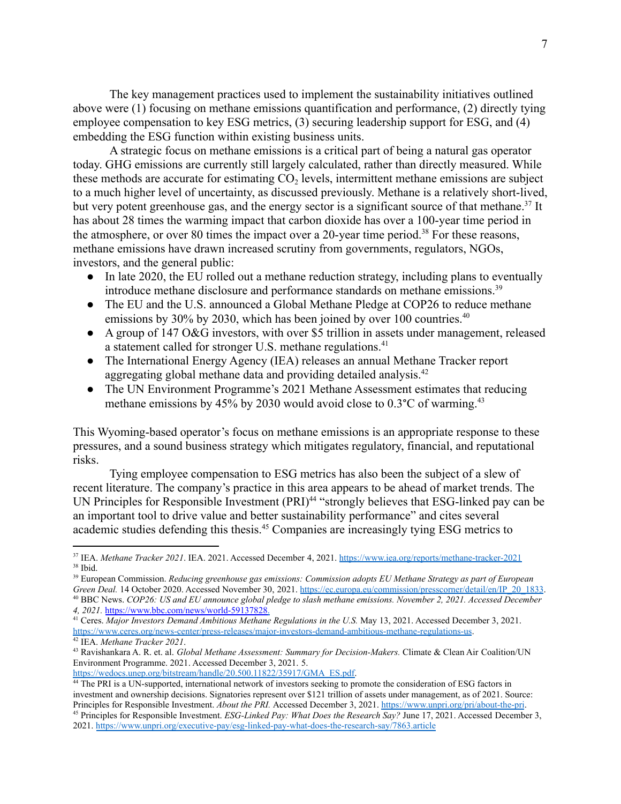The key management practices used to implement the sustainability initiatives outlined above were (1) focusing on methane emissions quantification and performance, (2) directly tying employee compensation to key ESG metrics, (3) securing leadership support for ESG, and (4) embedding the ESG function within existing business units.

A strategic focus on methane emissions is a critical part of being a natural gas operator today. GHG emissions are currently still largely calculated, rather than directly measured. While these methods are accurate for estimating  $CO<sub>2</sub>$  levels, intermittent methane emissions are subject to a much higher level of uncertainty, as discussed previously. Methane is a relatively short-lived, but very potent greenhouse gas, and the energy sector is a significant source of that methane.<sup>37</sup> It has about 28 times the warming impact that carbon dioxide has over a 100-year time period in the atmosphere, or over 80 times the impact over a 20-year time period.<sup>38</sup> For these reasons, methane emissions have drawn increased scrutiny from governments, regulators, NGOs, investors, and the general public:

- In late 2020, the EU rolled out a methane reduction strategy, including plans to eventually introduce methane disclosure and performance standards on methane emissions.<sup>39</sup>
- The EU and the U.S. announced a Global Methane Pledge at COP26 to reduce methane emissions by  $30\%$  by  $2030$ , which has been joined by over 100 countries.<sup>40</sup>
- A group of 147 O&G investors, with over \$5 trillion in assets under management, released a statement called for stronger U.S. methane regulations.<sup>41</sup>
- The International Energy Agency (IEA) releases an annual Methane Tracker report aggregating global methane data and providing detailed analysis.<sup>42</sup>
- The UN Environment Programme's 2021 Methane Assessment estimates that reducing methane emissions by 45% by 2030 would avoid close to  $0.3^{\circ}$ C of warming.<sup>43</sup>

This Wyoming-based operator's focus on methane emissions is an appropriate response to these pressures, and a sound business strategy which mitigates regulatory, financial, and reputational risks.

Tying employee compensation to ESG metrics has also been the subject of a slew of recent literature. The company's practice in this area appears to be ahead of market trends. The UN Principles for Responsible Investment (PRI)<sup>44</sup> "strongly believes that ESG-linked pay can be an important tool to drive value and better sustainability performance" and cites several academic studies defending this thesis.<sup>45</sup> Companies are increasingly tying ESG metrics to

[https://wedocs.unep.org/bitstream/handle/20.500.11822/35917/GMA\\_ES.pdf.](https://wedocs.unep.org/bitstream/handle/20.500.11822/35917/GMA_ES.pdf)

<sup>38</sup> Ibid. 37 IEA. *Methane Tracker 2021*. IEA. 2021. Accessed December 4, 2021. <https://www.iea.org/reports/methane-tracker-2021>

<sup>39</sup> European Commission. *Reducing greenhouse gas emissions: Commission adopts EU Methane Strategy as part of European*

<sup>40</sup> BBC News. *COP26: US and EU announce global pledge to slash methane emissions. November 2, 2021. Accessed December 4, 2021.* [https://www.bbc.com/news/world-59137828.](https://www.bbc.com/news/world-59137828) *Green Deal.* 14 October 2020. Accessed November 30, 2021. [https://ec.europa.eu/commission/presscorner/detail/en/IP\\_20\\_1833](https://ec.europa.eu/commission/presscorner/detail/en/IP_20_1833).

<sup>41</sup> Ceres. *Major Investors Demand Ambitious Methane Regulations in the U.S.* May 13, 2021. Accessed December 3, 2021. <https://www.ceres.org/news-center/press-releases/major-investors-demand-ambitious-methane-regulations-us>.

<sup>42</sup> IEA. *Methane Tracker 2021*.

<sup>43</sup> Ravishankara A. R. et. al. *Global Methane Assessment: Summary for Decision-Makers.* Climate & Clean Air Coalition/UN Environment Programme. 2021. Accessed December 3, 2021. 5.

<sup>45</sup> Principles for Responsible Investment. *ESG-Linked Pay: What Does the Research Say?* June 17, 2021. Accessed December 3, <sup>44</sup> The PRI is a UN-supported, international network of investors seeking to promote the consideration of ESG factors in investment and ownership decisions. Signatories represent over \$121 trillion of assets under management, as of 2021. Source: Principles for Responsible Investment. *About the PRI.* Accessed December 3, 2021. <https://www.unpri.org/pri/about-the-pri>.

<sup>2021.</sup> <https://www.unpri.org/executive-pay/esg-linked-pay-what-does-the-research-say/7863.article>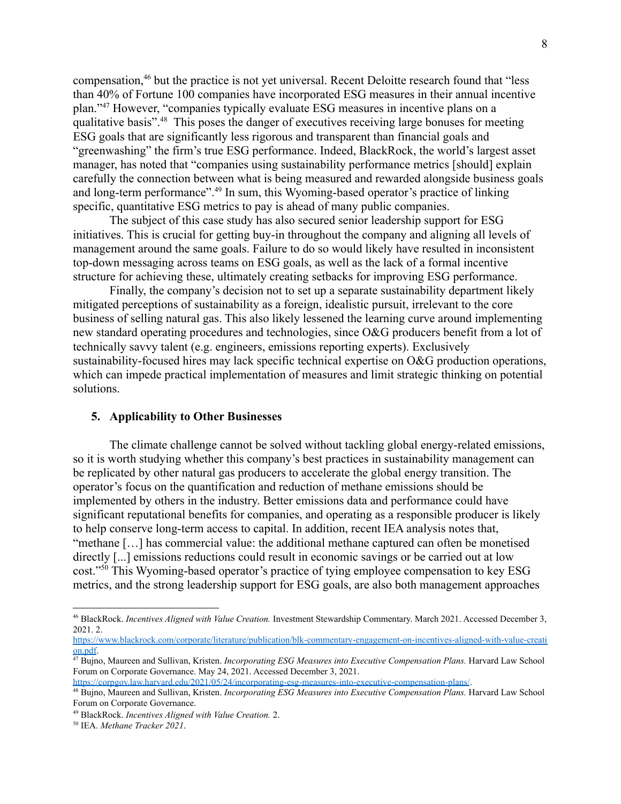compensation,<sup>46</sup> but the practice is not yet universal. Recent Deloitte research found that "less than 40% of Fortune 100 companies have incorporated ESG measures in their annual incentive plan."<sup>47</sup> However, "companies typically evaluate ESG measures in incentive plans on a qualitative basis".<sup>48</sup> This poses the danger of executives receiving large bonuses for meeting ESG goals that are significantly less rigorous and transparent than financial goals and "greenwashing" the firm's true ESG performance. Indeed, BlackRock, the world's largest asset manager, has noted that "companies using sustainability performance metrics [should] explain carefully the connection between what is being measured and rewarded alongside business goals and long-term performance".<sup>49</sup> In sum, this Wyoming-based operator's practice of linking specific, quantitative ESG metrics to pay is ahead of many public companies.

The subject of this case study has also secured senior leadership support for ESG initiatives. This is crucial for getting buy-in throughout the company and aligning all levels of management around the same goals. Failure to do so would likely have resulted in inconsistent top-down messaging across teams on ESG goals, as well as the lack of a formal incentive structure for achieving these, ultimately creating setbacks for improving ESG performance.

Finally, the company's decision not to set up a separate sustainability department likely mitigated perceptions of sustainability as a foreign, idealistic pursuit, irrelevant to the core business of selling natural gas. This also likely lessened the learning curve around implementing new standard operating procedures and technologies, since O&G producers benefit from a lot of technically savvy talent (e.g. engineers, emissions reporting experts). Exclusively sustainability-focused hires may lack specific technical expertise on O&G production operations, which can impede practical implementation of measures and limit strategic thinking on potential solutions.

# **5. Applicability to Other Businesses**

The climate challenge cannot be solved without tackling global energy-related emissions, so it is worth studying whether this company's best practices in sustainability management can be replicated by other natural gas producers to accelerate the global energy transition. The operator's focus on the quantification and reduction of methane emissions should be implemented by others in the industry. Better emissions data and performance could have significant reputational benefits for companies, and operating as a responsible producer is likely to help conserve long-term access to capital. In addition, recent IEA analysis notes that, "methane […] has commercial value: the additional methane captured can often be monetised directly [...] emissions reductions could result in economic savings or be carried out at low cost."<sup>50</sup> This Wyoming-based operator's practice of tying employee compensation to key ESG metrics, and the strong leadership support for ESG goals, are also both management approaches

<sup>46</sup> BlackRock. *Incentives Aligned with Value Creation.* Investment Stewardship Commentary. March 2021. Accessed December 3, 2021. 2.

[https://www.blackrock.com/corporate/literature/publication/blk-commentary-engagement-on-incentives-aligned-with-value-creati](https://www.blackrock.com/corporate/literature/publication/blk-commentary-engagement-on-incentives-aligned-with-value-creation.pdf) [on.pdf](https://www.blackrock.com/corporate/literature/publication/blk-commentary-engagement-on-incentives-aligned-with-value-creation.pdf).

<sup>47</sup> Bujno, Maureen and Sullivan, Kristen. *Incorporating ESG Measures into Executive Compensation Plans.* Harvard Law School Forum on Corporate Governance. May 24, 2021. Accessed December 3, 2021.

<https://corpgov.law.harvard.edu/2021/05/24/incorporating-esg-measures-into-executive-compensation-plans/>.

<sup>48</sup> Bujno, Maureen and Sullivan, Kristen. *Incorporating ESG Measures into Executive Compensation Plans.* Harvard Law School Forum on Corporate Governance.

<sup>49</sup> BlackRock. *Incentives Aligned with Value Creation.* 2.

<sup>50</sup> IEA. *Methane Tracker 2021*.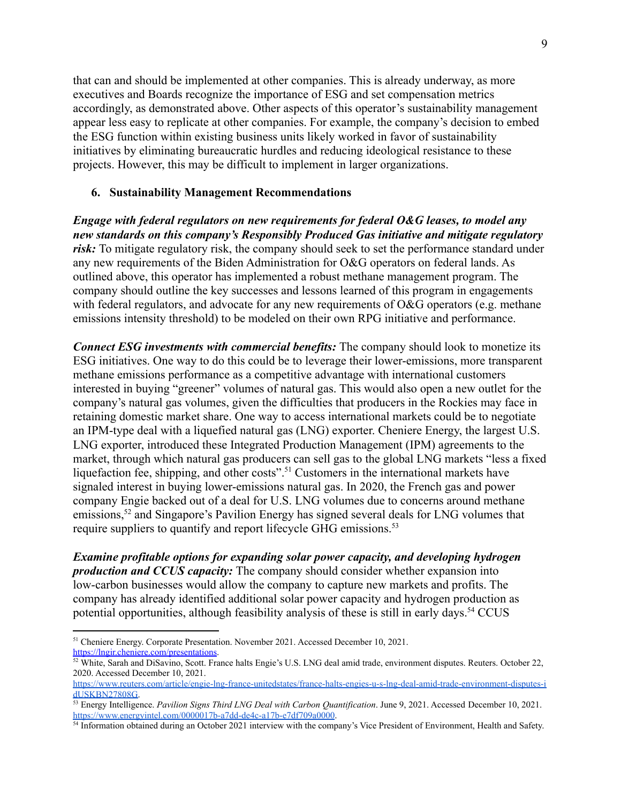that can and should be implemented at other companies. This is already underway, as more executives and Boards recognize the importance of ESG and set compensation metrics accordingly, as demonstrated above. Other aspects of this operator's sustainability management appear less easy to replicate at other companies. For example, the company's decision to embed the ESG function within existing business units likely worked in favor of sustainability initiatives by eliminating bureaucratic hurdles and reducing ideological resistance to these projects. However, this may be difficult to implement in larger organizations.

# **6. Sustainability Management Recommendations**

*Engage with federal regulators on new requirements for federal O&G leases, to model any new standards on this company's Responsibly Produced Gas initiative and mitigate regulatory risk*: To mitigate regulatory risk, the company should seek to set the performance standard under any new requirements of the Biden Administration for O&G operators on federal lands. As outlined above, this operator has implemented a robust methane management program. The company should outline the key successes and lessons learned of this program in engagements with federal regulators, and advocate for any new requirements of  $\alpha$ G operators (e.g. methane emissions intensity threshold) to be modeled on their own RPG initiative and performance.

*Connect ESG investments with commercial benefits:* The company should look to monetize its ESG initiatives. One way to do this could be to leverage their lower-emissions, more transparent methane emissions performance as a competitive advantage with international customers interested in buying "greener" volumes of natural gas. This would also open a new outlet for the company's natural gas volumes, given the difficulties that producers in the Rockies may face in retaining domestic market share. One way to access international markets could be to negotiate an IPM-type deal with a liquefied natural gas (LNG) exporter. Cheniere Energy, the largest U.S. LNG exporter, introduced these Integrated Production Management (IPM) agreements to the market, through which natural gas producers can sell gas to the global LNG markets "less a fixed liquefaction fee, shipping, and other costs".<sup>51</sup> Customers in the international markets have signaled interest in buying lower-emissions natural gas. In 2020, the French gas and power company Engie backed out of a deal for U.S. LNG volumes due to concerns around methane emissions,<sup>52</sup> and Singapore's Pavilion Energy has signed several deals for LNG volumes that require suppliers to quantify and report lifecycle GHG emissions.<sup>53</sup>

*Examine profitable options for expanding solar power capacity, and developing hydrogen production and CCUS capacity:* The company should consider whether expansion into low-carbon businesses would allow the company to capture new markets and profits. The company has already identified additional solar power capacity and hydrogen production as potential opportunities, although feasibility analysis of these is still in early days.<sup>54</sup> CCUS

<sup>51</sup> Cheniere Energy. Corporate Presentation. November 2021. Accessed December 10, 2021. [https://lngir.cheniere.com/presentations.](https://lngir.cheniere.com/presentations)

<sup>&</sup>lt;sup>52</sup> White, Sarah and DiSavino, Scott. France halts Engie's U.S. LNG deal amid trade, environment disputes. Reuters. October 22, 2020. Accessed December 10, 2021.

[https://www.reuters.com/article/engie-lng-france-unitedstates/france-halts-engies-u-s-lng-deal-amid-trade-environment-disputes-i](https://www.reuters.com/article/engie-lng-france-unitedstates/france-halts-engies-u-s-lng-deal-amid-trade-environment-disputes-idUSKBN27808G) [dUSKBN27808G](https://www.reuters.com/article/engie-lng-france-unitedstates/france-halts-engies-u-s-lng-deal-amid-trade-environment-disputes-idUSKBN27808G).

<sup>53</sup> Energy Intelligence. *Pavilion Signs Third LNG Deal with Carbon Quantification*. June 9, 2021. Accessed December 10, 2021. <https://www.energyintel.com/0000017b-a7dd-de4c-a17b-e7df709a0000>.

<sup>54</sup> Information obtained during an October 2021 interview with the company's Vice President of Environment, Health and Safety.